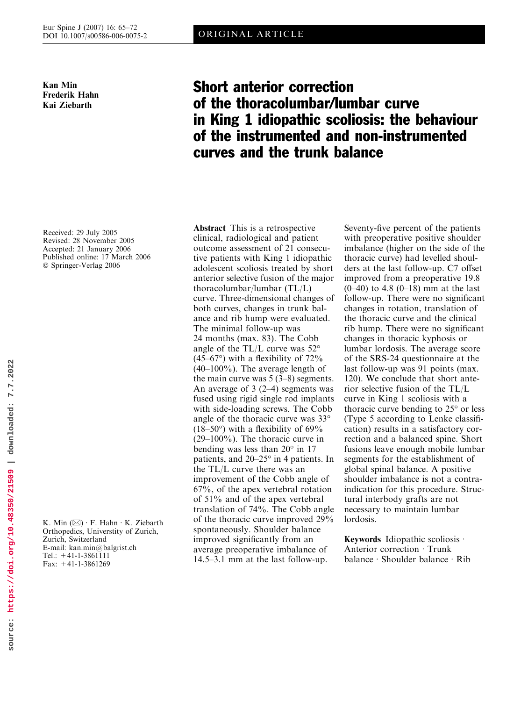Kan Min Frederik Hahn Kai Ziebarth

# Short anterior correction of the thoracolumbar/lumbar curve in King 1 idiopathic scoliosis: the behaviour of the instrumented and non-instrumented curves and the trunk balance

Received: 29 July 2005 Revised: 28 November 2005 Accepted: 21 January 2006 Published online: 17 March 2006 © Springer-Verlag 2006

K. Min  $(\boxtimes) \cdot$  F. Hahn  $\cdot$  K. Ziebarth Orthopedics, Universtity of Zurich, Zurich, Switzerland E-mail: kan.min@balgrist.ch Tel.: +41-1-3861111 Fax: +41-1-3861269

Abstract This is a retrospective clinical, radiological and patient outcome assessment of 21 consecutive patients with King 1 idiopathic adolescent scoliosis treated by short anterior selective fusion of the major thoracolumbar/lumbar (TL/L) curve. Three-dimensional changes of both curves, changes in trunk balance and rib hump were evaluated. The minimal follow-up was 24 months (max. 83). The Cobb angle of the TL/L curve was  $52^{\circ}$  $(45-67)$ <sup>o</sup>) with a flexibility of  $72\%$  $(40-100\%)$ . The average length of the main curve was 5 (3–8) segments. An average of 3 (2–4) segments was fused using rigid single rod implants with side-loading screws. The Cobb angle of the thoracic curve was 33 (18–50 $\degree$ ) with a flexibility of 69 $\%$ (29–100%). The thoracic curve in bending was less than  $20^{\circ}$  in 17 patients, and  $20-25^\circ$  in 4 patients. In the TL/L curve there was an improvement of the Cobb angle of 67%, of the apex vertebral rotation of 51% and of the apex vertebral translation of 74%. The Cobb angle of the thoracic curve improved 29% spontaneously. Shoulder balance improved significantly from an average preoperative imbalance of 14.5–3.1 mm at the last follow-up.

Seventy-five percent of the patients with preoperative positive shoulder imbalance (higher on the side of the thoracic curve) had levelled shoulders at the last follow-up. C7 offset improved from a preoperative 19.8  $(0-40)$  to 4.8  $(0-18)$  mm at the last follow-up. There were no significant changes in rotation, translation of the thoracic curve and the clinical rib hump. There were no significant changes in thoracic kyphosis or lumbar lordosis. The average score of the SRS-24 questionnaire at the last follow-up was 91 points (max. 120). We conclude that short anterior selective fusion of the TL/L curve in King 1 scoliosis with a thoracic curve bending to  $25^{\circ}$  or less (Type 5 according to Lenke classification) results in a satisfactory correction and a balanced spine. Short fusions leave enough mobile lumbar segments for the establishment of global spinal balance. A positive shoulder imbalance is not a contraindication for this procedure. Structural interbody grafts are not necessary to maintain lumbar lordosis.

**Keywords** Idiopathic scoliosis  $\cdot$ Anterior correction  $\cdot$  Trunk  $b$ alance · Shoulder balance · Rib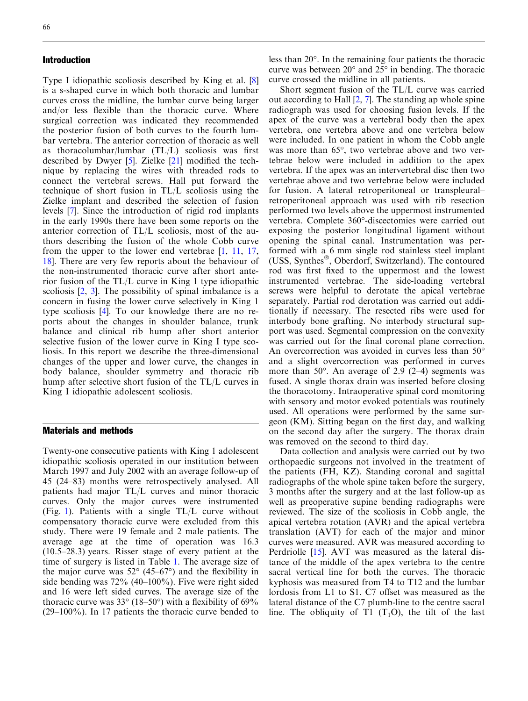## Introduction

Type I idiopathic scoliosis described by King et al. [8] is a s-shaped curve in which both thoracic and lumbar curves cross the midline, the lumbar curve being larger and/or less flexible than the thoracic curve. Where surgical correction was indicated they recommended the posterior fusion of both curves to the fourth lumbar vertebra. The anterior correction of thoracic as well as thoracolumbar/lumbar (TL/L) scoliosis was first described by Dwyer [5]. Zielke [21] modified the technique by replacing the wires with threaded rods to connect the vertebral screws. Hall put forward the technique of short fusion in TL/L scoliosis using the Zielke implant and described the selection of fusion levels [7]. Since the introduction of rigid rod implants in the early 1990s there have been some reports on the anterior correction of TL/L scoliosis, most of the authors describing the fusion of the whole Cobb curve from the upper to the lower end vertebrae [1, 11, 17, 18]. There are very few reports about the behaviour of the non-instrumented thoracic curve after short anterior fusion of the TL/L curve in King 1 type idiopathic scoliosis [2, 3]. The possibility of spinal imbalance is a concern in fusing the lower curve selectively in King 1 type scoliosis [4]. To our knowledge there are no reports about the changes in shoulder balance, trunk balance and clinical rib hump after short anterior selective fusion of the lower curve in King I type scoliosis. In this report we describe the three-dimensional changes of the upper and lower curve, the changes in body balance, shoulder symmetry and thoracic rib hump after selective short fusion of the TL/L curves in King I idiopathic adolescent scoliosis.

# Materials and methods

Twenty-one consecutive patients with King 1 adolescent idiopathic scoliosis operated in our institution between March 1997 and July 2002 with an average follow-up of 45 (24–83) months were retrospectively analysed. All patients had major TL/L curves and minor thoracic curves. Only the major curves were instrumented (Fig. 1). Patients with a single TL/L curve without compensatory thoracic curve were excluded from this study. There were 19 female and 2 male patients. The average age at the time of operation was 16.3 (10.5–28.3) years. Risser stage of every patient at the time of surgery is listed in Table 1. The average size of the major curve was  $52^{\circ}$  (45–67°) and the flexibility in side bending was 72% (40–100%). Five were right sided and 16 were left sided curves. The average size of the thoracic curve was  $33^{\circ}$  (18–50°) with a flexibility of 69%  $(29-100\%)$ . In 17 patients the thoracic curve bended to

less than  $20^{\circ}$ . In the remaining four patients the thoracic curve was between  $20^{\circ}$  and  $25^{\circ}$  in bending. The thoracic curve crossed the midline in all patients.

Short segment fusion of the TL/L curve was carried out according to Hall [2, 7]. The standing ap whole spine radiograph was used for choosing fusion levels. If the apex of the curve was a vertebral body then the apex vertebra, one vertebra above and one vertebra below were included. In one patient in whom the Cobb angle was more than 65°, two vertebrae above and two vertebrae below were included in addition to the apex vertebra. If the apex was an intervertebral disc then two vertebrae above and two vertebrae below were included for fusion. A lateral retroperitoneal or transpleural– retroperitoneal approach was used with rib resection performed two levels above the uppermost instrumented vertebra. Complete 360°-discectomies were carried out exposing the posterior longitudinal ligament without opening the spinal canal. Instrumentation was performed with a 6 mm single rod stainless steel implant (USS, Synthes®, Oberdorf, Switzerland). The contoured rod was first fixed to the uppermost and the lowest instrumented vertebrae. The side-loading vertebral screws were helpful to derotate the apical vertebrae separately. Partial rod derotation was carried out additionally if necessary. The resected ribs were used for interbody bone grafting. No interbody structural support was used. Segmental compression on the convexity was carried out for the final coronal plane correction. An overcorrection was avoided in curves less than 50° and a slight overcorrection was performed in curves more than  $50^{\circ}$ . An average of 2.9 (2–4) segments was fused. A single thorax drain was inserted before closing the thoracotomy. Intraoperative spinal cord monitoring with sensory and motor evoked potentials was routinely used. All operations were performed by the same surgeon (KM). Sitting began on the first day, and walking on the second day after the surgery. The thorax drain was removed on the second to third day.

Data collection and analysis were carried out by two orthopaedic surgeons not involved in the treatment of the patients (FH, KZ). Standing coronal and sagittal radiographs of the whole spine taken before the surgery, 3 months after the surgery and at the last follow-up as well as preoperative supine bending radiographs were reviewed. The size of the scoliosis in Cobb angle, the apical vertebra rotation (AVR) and the apical vertebra translation (AVT) for each of the major and minor curves were measured. AVR was measured according to Perdriolle [15]. AVT was measured as the lateral distance of the middle of the apex vertebra to the centre sacral vertical line for both the curves. The thoracic kyphosis was measured from T4 to T12 and the lumbar lordosis from L1 to S1. C7 offset was measured as the lateral distance of the C7 plumb-line to the centre sacral line. The obliquity of T1  $(T_1O)$ , the tilt of the last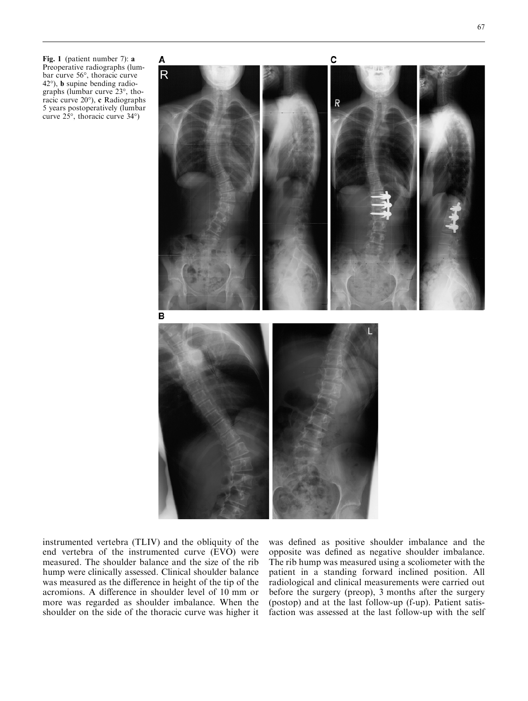Fig. 1 (patient number 7): a Preoperative radiographs (lumbar curve 56°, thoracic curve  $42^{\circ}$ ), **b** supine bending radiographs (lumbar curve  $23^\circ$ , thoracic curve  $20^{\circ}$ ), c Radiographs 5 years postoperatively (lumbar curve  $25^{\circ}$ , thoracic curve  $34^{\circ}$ )



instrumented vertebra (TLIV) and the obliquity of the end vertebra of the instrumented curve (EVO) were measured. The shoulder balance and the size of the rib hump were clinically assessed. Clinical shoulder balance was measured as the difference in height of the tip of the acromions. A difference in shoulder level of 10 mm or more was regarded as shoulder imbalance. When the shoulder on the side of the thoracic curve was higher it

was defined as positive shoulder imbalance and the opposite was defined as negative shoulder imbalance. The rib hump was measured using a scoliometer with the patient in a standing forward inclined position. All radiological and clinical measurements were carried out before the surgery (preop), 3 months after the surgery (postop) and at the last follow-up (f-up). Patient satisfaction was assessed at the last follow-up with the self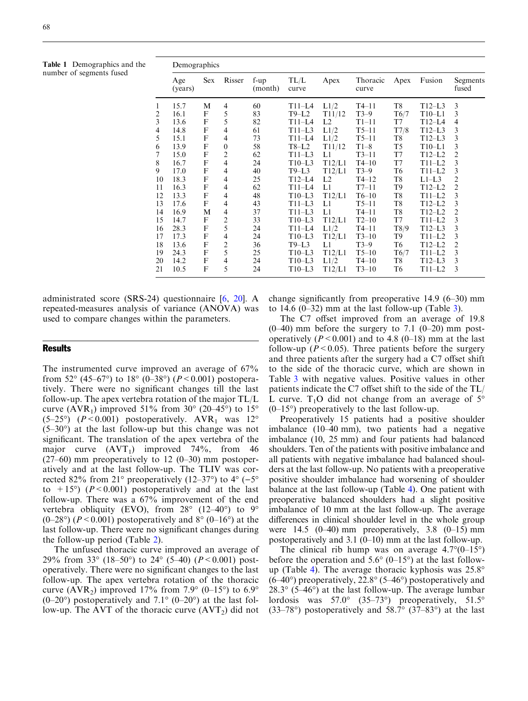Table 1 Demographics and the number of segments fused

|                         | Demographics   |            |                  |                   |               |        |                   |      |          |                   |  |  |
|-------------------------|----------------|------------|------------------|-------------------|---------------|--------|-------------------|------|----------|-------------------|--|--|
|                         | Age<br>(years) | <b>Sex</b> | Risser           | $f-up$<br>(month) | TL/L<br>curve | Apex   | Thoracic<br>curve | Apex | Fusion   | Segments<br>fused |  |  |
| 1                       | 15.7           | M          | 4                | 60                | $T11-L4$      | L1/2   | $T4-11$           | T8   | $T12-L3$ | 3                 |  |  |
| $\overline{\mathbf{c}}$ | 16.1           | F          | 5                | 83                | $T9-L2$       | T11/12 | $T3-9$            | T6/7 | $T10-L1$ | 3                 |  |  |
| 3                       | 13.6           | F          | 5                | 82                | $T11-L4$      | L2     | $T1-11$           | T7   | T12–L4   | 4                 |  |  |
| 4                       | 14.8           | F          | 4                | 61                | $T11-L3$      | L1/2   | $T5-11$           | T7/8 | $T12-L3$ | 3                 |  |  |
| 5                       | 15.1           | F          | $\overline{4}$   | 73                | $T11-L4$      | L1/2   | $T5-11$           | T8   | $T12-L3$ | 3                 |  |  |
| 6                       | 13.9           | F          | $\boldsymbol{0}$ | 58                | $T8-L2$       | T11/12 | $T1-8$            | T5   | $T10-L1$ | $\mathfrak{Z}$    |  |  |
| 7                       | 15.0           | F          | $\overline{c}$   | 62                | $T11-L3$      | L1     | $T3-11$           | T7   | $T12-L2$ | $\overline{c}$    |  |  |
| 8                       | 16.7           | F          | 4                | 24                | $T10-L3$      | T12/L1 | $T4-10$           | T7   | $T11-L2$ | 3                 |  |  |
| 9                       | 17.0           | F          | 4                | 40                | $T9-L3$       | T12/L1 | $T3-9$            | T6   | $T11-L2$ | 3                 |  |  |
| 10                      | 18.3           | F          | 4                | 25                | $T12-L4$      | L2     | $T4-12$           | T8   | $L1-L3$  | $\overline{c}$    |  |  |
| 11                      | 16.3           | F          | 4                | 62                | $T11-L4$      | L1     | $T7-11$           | T9   | $T12-L2$ | $\sqrt{2}$        |  |  |
| 12                      | 13.3           | F          | 4                | 48                | $T10-L3$      | T12/L1 | $T6-10$           | T8   | $T11-L2$ | $\mathfrak{Z}$    |  |  |
| 13                      | 17.6           | F          | $\overline{4}$   | 43                | $T11-L3$      | L1     | $T5-11$           | T8   | $T12-L2$ | 3                 |  |  |
| 14                      | 16.9           | М          | $\overline{4}$   | 37                | $T11-L3$      | L1     | $T4-11$           | T8   | $T12-L2$ | $\sqrt{2}$        |  |  |
| 15                      | 14.7           | F          | $\overline{c}$   | 33                | $T10-L3$      | T12/L1 | $T2-10$           | T7   | $T11-L2$ | 3                 |  |  |
| 16                      | 28.3           | F          | 5                | 24                | $T11-L4$      | L1/2   | $T4-11$           | T8/9 | $T12-L3$ | 3                 |  |  |
| 17                      | 17.3           | F          | 4                | 24                | $T10-L3$      | T12/L1 | $T3-10$           | T9   | $T11-L2$ | 3                 |  |  |
| 18                      | 13.6           | F          | $\overline{c}$   | 36                | $T9-L3$       | L1     | $T3-9$            | T6   | $T12-L2$ | $\overline{c}$    |  |  |
| 19                      | 24.3           | F          | 5                | 25                | $T10-L3$      | T12/L1 | $T5-10$           | T6/7 | $T11-L2$ | $\mathfrak{Z}$    |  |  |
| 20                      | 14.2           | F          | 4                | 24                | $T10-L3$      | L1/2   | $T4-10$           | T8   | $T12-L3$ | 3                 |  |  |
| 21                      | 10.5           | F          | 5                | 24                | $T10-L3$      | T12/L1 | $T3-10$           | T6   | T11–L2   | 3                 |  |  |

administrated score (SRS-24) questionnaire [6, 20]. A repeated-measures analysis of variance (ANOVA) was used to compare changes within the parameters.

### **Results**

The instrumented curve improved an average of 67% from 52 $^{\circ}$  (45–67 $^{\circ}$ ) to 18 $^{\circ}$  (0–38 $^{\circ}$ ) (P < 0.001) postoperatively. There were no significant changes till the last follow-up. The apex vertebra rotation of the major TL/L curve (AVR<sub>1</sub>) improved 51% from 30 $^{\circ}$  (20–45 $^{\circ}$ ) to 15 $^{\circ}$ (5–25°)  $(P < 0.001)$  postoperatively. AVR<sub>1</sub> was 12°  $(5-30^{\circ})$  at the last follow-up but this change was not significant. The translation of the apex vertebra of the major curve  $(AVT_1)$  improved 74%, from 46  $(27–60)$  mm preoperatively to 12  $(0–30)$  mm postoperatively and at the last follow-up. The TLIV was corrected 82% from 21° preoperatively (12–37°) to 4° (–5° to  $+15^{\circ}$ ) ( $P < 0.001$ ) postoperatively and at the last follow-up. There was a 67% improvement of the end vertebra obliquity (EVO), from  $28^{\circ}$  (12–40°) to 9°  $(0-28)$  ( $P < 0.001$ ) postoperatively and  $8^\circ$  ( $0-16^\circ$ ) at the last follow-up. There were no significant changes during the follow-up period (Table 2).

The unfused thoracic curve improved an average of 29% from 33 $^{\circ}$  (18–50 $^{\circ}$ ) to 24 $^{\circ}$  (5–40) (P < 0.001) postoperatively. There were no significant changes to the last follow-up. The apex vertebra rotation of the thoracic curve (AVR<sub>2</sub>) improved 17% from 7.9 $^{\circ}$  (0–15 $^{\circ}$ ) to 6.9 $^{\circ}$  $(0-20^{\circ})$  postoperatively and 7.1°  $(0-20^{\circ})$  at the last follow-up. The AVT of the thoracic curve  $(AVT_2)$  did not change significantly from preoperative 14.9 (6–30) mm to 14.6 (0–32) mm at the last follow-up (Table 3).

The C7 offset improved from an average of 19.8  $(0-40)$  mm before the surgery to 7.1  $(0-20)$  mm postoperatively ( $P < 0.001$ ) and to 4.8 (0–18) mm at the last follow-up ( $P < 0.05$ ). Three patients before the surgery and three patients after the surgery had a C7 offset shift to the side of the thoracic curve, which are shown in Table 3 with negative values. Positive values in other patients indicate the C7 offset shift to the side of the TL/ L curve.  $T_1O$  did not change from an average of  $5^\circ$  $(0-15^{\circ})$  preoperatively to the last follow-up.

Preoperatively 15 patients had a positive shoulder imbalance (10–40 mm), two patients had a negative imbalance (10, 25 mm) and four patients had balanced shoulders. Ten of the patients with positive imbalance and all patients with negative imbalance had balanced shoulders at the last follow-up. No patients with a preoperative positive shoulder imbalance had worsening of shoulder balance at the last follow-up (Table [4](#page-5-0)). One patient with preoperative balanced shoulders had a slight positive imbalance of 10 mm at the last follow-up. The average differences in clinical shoulder level in the whole group were  $14.5$  (0–40) mm preoperatively, 3.8 (0–15) mm postoperatively and 3.1 (0–10) mm at the last follow-up.

The clinical rib hump was on average  $4.7^{\circ}(0-15^{\circ})$ before the operation and  $5.6^{\circ}$  (0–15<sup>o</sup>) at the last follow-up (Table [4](#page-5-0)). The average thoracic kyphosis was  $25.8^{\circ}$  $(6-40^{\circ})$  preoperatively, 22.8°  $(5-46^{\circ})$  postoperatively and  $28.3^{\circ}$  (5–46°) at the last follow-up. The average lumbar lordosis was  $57.0^{\circ}$   $(35-73^{\circ})$  preoperatively,  $51.5^{\circ}$  $(33-78)$ <sup>o</sup> postoperatively and  $58.7$ <sup>o</sup>  $(37-83)$ <sup>o</sup> at the last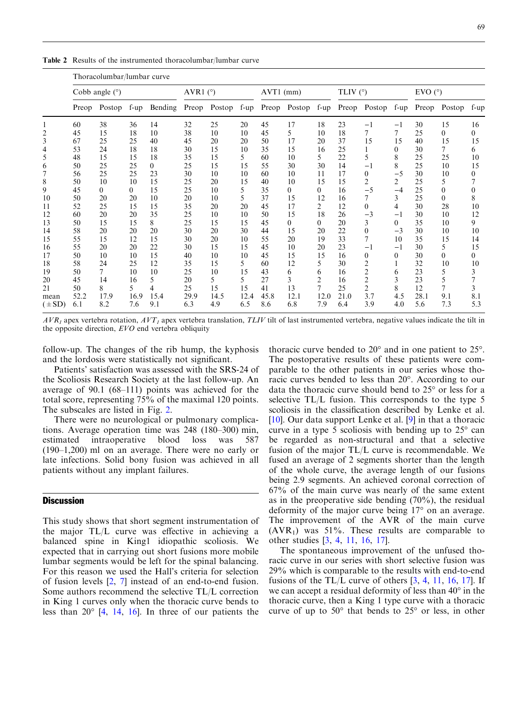Table 2 Results of the instrumented thoracolumbar/lumbar curve

|            | Thoracolumbar/lumbar curve |          |        |          |            |        |        |           |          |                |                 |                |              |                     |                |          |
|------------|----------------------------|----------|--------|----------|------------|--------|--------|-----------|----------|----------------|-----------------|----------------|--------------|---------------------|----------------|----------|
|            | Cobb angle $(°)$           |          |        |          | AVR1 $(°)$ |        |        | AVT1 (mm) |          |                | TLIV $(^\circ)$ |                |              | $EVO$ ( $\degree$ ) |                |          |
|            | Preop                      | Postop   | $f-up$ | Bending  | Preop      | Postop | $f-up$ | Preop     | Postop   | $f-up$         | Preop           | Postop         | $f-up$       | Preop               | Postop         | f-up     |
|            | 60                         | 38       | 36     | 14       | 32         | 25     | 20     | 45        | 17       | 18             | 23              | $-1$           | $-1$         | 30                  | 15             | 16       |
|            | 45                         | 15       | 18     | 10       | 38         | 10     | 10     | 45        | 5        | 10             | 18              | $\tau$         | $\tau$       | 25                  | $\overline{0}$ | $\theta$ |
| 3          | 67                         | 25       | 25     | 40       | 45         | 20     | 20     | 50        | 17       | 20             | 37              | 15             | 15           | 40                  | 15             | 15       |
| 4          | 53                         | 24       | 18     | 18       | 30         | 15     | 10     | 35        | 15       | 16             | 25              |                | $\mathbf{0}$ | 30                  | 7              | 6        |
| 5          | 48                         | 15       | 15     | 18       | 35         | 15     | 5      | 60        | 10       | 5              | 22              | 5              | 8            | 25                  | 25             | 10       |
| 6          | 50                         | 25       | 25     | $\theta$ | 25         | 15     | 15     | 55        | 30       | 30             | 14              | $-1$           | 8            | 25                  | 10             | 15       |
|            | 56                         | 25       | 25     | 23       | 30         | 10     | 10     | 60        | 10       | 11             | 17              | $\theta$       | $-5$         | 30                  | 10             | $^{(1)}$ |
| 8          | 50                         | 10       | 10     | 15       | 25         | 20     | 15     | 40        | 10       | 15             | 15              | $\overline{c}$ | 2            | 25                  | 5              |          |
| 9          | 45                         | $\theta$ | 0      | 15       | 25         | 10     | 5      | 35        | $\theta$ | $\theta$       | 16              | $-5$           | $-4$         | 25                  | $\theta$       | $\theta$ |
| 10         | 50                         | 20       | 20     | 10       | 20         | 10     | 5      | 37        | 15       | 12             | 16              |                | 3            | 25                  | $\theta$       | 8        |
| 11         | 52                         | 25       | 15     | 15       | 35         | 20     | 20     | 45        | 17       | 2              | 12              | $\theta$       | 4            | 30                  | 28             | 10       |
| 12         | 60                         | 20       | 20     | 35       | 25         | 10     | 10     | 50        | 15       | 18             | 26              | $-3$           | $-1$         | 30                  | 10             | 12       |
| 13         | 50                         | 15       | 15     | 8        | 25         | 15     | 15     | 45        | $\theta$ | $\theta$       | 20              | 3              | $\theta$     | 35                  | 10             | 9.       |
| 14         | 58                         | 20       | 20     | 20       | 30         | 20     | 30     | 44        | 15       | 20             | 22              | $\theta$       | $-3$         | 30                  | 10             | 10       |
| 15         | 55                         | 15       | 12     | 15       | 30         | 20     | 10     | 55        | 20       | 19             | 33              | $\overline{7}$ | 10           | 35                  | 15             | 14       |
| 16         | 55                         | 20       | 20     | 22       | 30         | 15     | 15     | 45        | 10       | 20             | 23              | $-1$           | $-1$         | 30                  | 5              | 15       |
| 17         | 50                         | 10       | 10     | 15       | 40         | 10     | 10     | 45        | 15       | 15             | 16              | $\overline{0}$ | $\mathbf{0}$ | 30                  | $\overline{0}$ | $\theta$ |
| 18         | 58                         | 24       | 25     | 12       | 35         | 15     | 5      | 60        | 12       | 5              | 30              | 2              |              | 32                  | 10             | 10       |
| 19         | 50                         | $\tau$   | 10     | 10       | 25         | 10     | 15     | 43        | 6        | 6              | 16              | $\overline{2}$ | 6            | 23                  | 5              | 3        |
| 20         | 45                         | 14       | 16     | 5        | 20         | 5.     | 5      | 27        | 3        | 2              | 16              | 2              | 3            | 23                  | 5              |          |
| 21         | 50                         | 8        | 5      | 4        | 25         | 15     | 15     | 41        | 13       | $\overline{7}$ | 25              | $\overline{2}$ | 8            | 12                  | $\tau$         | 3        |
| mean       | 52.2                       | 17.9     | 16.9   | 15.4     | 29.9       | 14.5   | 12.4   | 45.8      | 12.1     | 12.0           | 21.0            | 3.7            | 4.5          | 28.1                | 9.1            | 8.1      |
| $(\pm SD)$ | 6.1                        | 8.2      | 7.6    | 9.1      | 6.3        | 4.9    | 6.5    | 8.6       | 6.8      | 7.9            | 6.4             | 3.9            | 4.0          | 5.6                 | 7.3            | 5.3      |

 $AVR<sub>1</sub>$  apex vertebra rotation,  $AVT<sub>1</sub>$  apex vertebra translation, TLIV tilt of last instrumented vertebra, negative values indicate the tilt in the opposite direction, EVO end vertebra obliquity

follow-up. The changes of the rib hump, the kyphosis and the lordosis were statistically not significant.

Patients' satisfaction was assessed with the SRS-24 of the Scoliosis Research Society at the last follow-up. An average of 90.1 (68–111) points was achieved for the total score, representing 75% of the maximal 120 points. The subscales are listed in Fig. 2.

There were no neurological or pulmonary complications. Average operation time was 248 (180–300) min, estimated intraoperative blood loss was 587 (190–1,200) ml on an average. There were no early or late infections. Solid bony fusion was achieved in all patients without any implant failures.

# **Discussion**

This study shows that short segment instrumentation of the major TL/L curve was effective in achieving a balanced spine in King1 idiopathic scoliosis. We expected that in carrying out short fusions more mobile lumbar segments would be left for the spinal balancing. For this reason we used the Hall's criteria for selection of fusion levels [2, 7] instead of an end-to-end fusion. Some authors recommend the selective TL/L correction in King 1 curves only when the thoracic curve bends to less than  $20^{\circ}$  [4, 14, 16]. In three of our patients the

thoracic curve bended to  $20^{\circ}$  and in one patient to  $25^{\circ}$ . The postoperative results of these patients were comparable to the other patients in our series whose thoracic curves bended to less than 20°. According to our data the thoracic curve should bend to  $25^{\circ}$  or less for a selective TL/L fusion. This corresponds to the type 5 scoliosis in the classification described by Lenke et al. [10]. Our data support Lenke et al. [9] in that a thoracic curve in a type 5 scoliosis with bending up to  $25^{\circ}$  can be regarded as non-structural and that a selective fusion of the major TL/L curve is recommendable. We fused an average of 2 segments shorter than the length of the whole curve, the average length of our fusions being 2.9 segments. An achieved coronal correction of 67% of the main curve was nearly of the same extent as in the preoperative side bending (70%), the residual deformity of the major curve being  $17^{\circ}$  on an average. The improvement of the AVR of the main curve  $(AVR<sub>1</sub>)$  was 51%. These results are comparable to other studies [3, 4, 11, 16, 17].

The spontaneous improvement of the unfused thoracic curve in our series with short selective fusion was 29% which is comparable to the results with end-to-end fusions of the TL/L curve of others  $[3, 4, 11, 16, 17]$ . If we can accept a residual deformity of less than  $40^{\circ}$  in the thoracic curve, then a King 1 type curve with a thoracic curve of up to  $50^{\circ}$  that bends to  $25^{\circ}$  or less, in other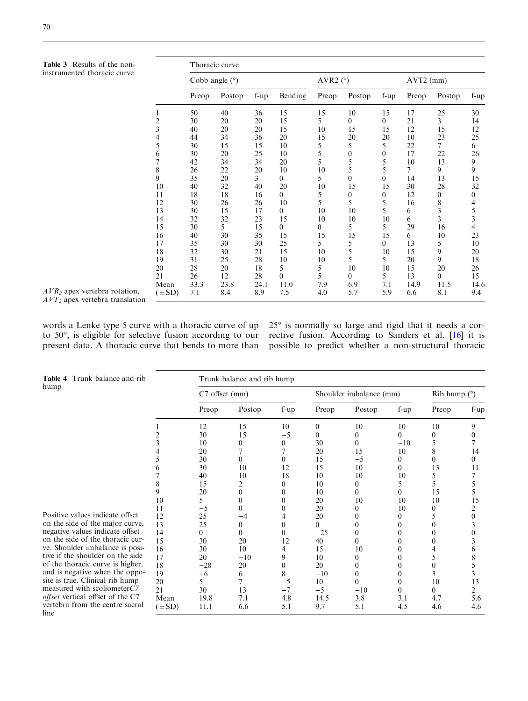<span id="page-5-0"></span>Table 3 Results of the noninstrumented thoracic curve

|                | Thoracic curve   |        |        |                |                  |                   |                  |                |                |                                            |  |  |
|----------------|------------------|--------|--------|----------------|------------------|-------------------|------------------|----------------|----------------|--------------------------------------------|--|--|
|                | Cobb angle $(°)$ |        |        |                |                  | AVR2 $(^{\circ})$ |                  | AVT2 (mm)      |                |                                            |  |  |
|                | Preop            | Postop | $f-up$ | Bending        | Preop            | Postop            | f-up             | Preop          | Postop         | f-up                                       |  |  |
| 1              | 50               | 40     | 36     | 15             | 15               | 10                | 15               | 17             | 25             | 30                                         |  |  |
| $\overline{c}$ | 30               | 20     | 20     | 15             | 5                | $\theta$          | $\theta$         | 21             | $\overline{3}$ | 14                                         |  |  |
| 3              | 40               | 20     | 20     | 15             | 10               | 15                | 15               | 12             | 15             | 12                                         |  |  |
| 4              | 44               | 34     | 36     | 20             | 15               | 20                | 20               | 10             | 23             | 25                                         |  |  |
| 5              | 30               | 15     | 15     | 10             | 5                | 5                 | 5                | 22             | 7              | 6                                          |  |  |
| 6              | 30               | 20     | 25     | 10             | 5                | $\boldsymbol{0}$  | $\mathbf{0}$     | 17             | 22             | 26                                         |  |  |
| $\overline{7}$ | 42               | 34     | 34     | 20             | 5                | 5                 | 5                | 10             | 13             | 9                                          |  |  |
| 8              | 26               | 22     | 20     | 10             | 10               | 5                 | 5                | $\overline{7}$ | 9              | 9                                          |  |  |
| 9              | 35               | 20     | 3      | $\overline{0}$ | 5                | $\overline{0}$    | $\theta$         | 14             | 13             | 15                                         |  |  |
| 10             | 40               | 32     | 40     | 20             | 10               | 15                | 15               | 30             | 28             | 32                                         |  |  |
| 11             | 18               | 18     | 16     | $\theta$       | 5                | $\boldsymbol{0}$  | $\boldsymbol{0}$ | 12             | $\theta$       | $\boldsymbol{0}$                           |  |  |
| 12             | 30               | 26     | 26     | 10             | 5                | 5                 | 5                | 16             | 8              |                                            |  |  |
| 13             | 30               | 15     | 17     | $\overline{0}$ | 10               | 10                | 5                | 6              |                |                                            |  |  |
| 14             | 32               | 32     | 23     | 15             | 10               | 10                | 10               | 6              | $\frac{3}{3}$  | $\begin{array}{c} 4 \\ 5 \\ 3 \end{array}$ |  |  |
| 15             | 30               | 5      | 15     | $\overline{0}$ | $\boldsymbol{0}$ | 5                 | 5                | 29             | 16             | $\overline{4}$                             |  |  |
| 16             | 40               | 30     | 35     | 15             | 15               | 15                | 15               | 6              | 10             | 23                                         |  |  |
| 17             | 35               | 30     | 30     | 25             | 5                | 5                 | $\theta$         | 13             | 5              | 10                                         |  |  |
| 18             | 32               | 30     | 21     | 15             | 10               | 5                 | 10               | 15             | 9              | 20                                         |  |  |
| 19             | 31               | 25     | 28     | 10             | 10               | 5                 | 5                | 20             | 9              | 18                                         |  |  |
| 20             | 28               | 20     | 18     | 5              | 5                | 10                | 10               | 15             | 20             | 26                                         |  |  |
| 21             | 26               | 12     | 28     | $\theta$       | 5                | $\theta$          | 5                | 13             | $\theta$       | 15                                         |  |  |
| Mean           | 33.3             | 23.8   | 24.1   | 11.0           | 7.9              | 6.9               | 7.1              | 14.9           | 11.5           | 14.6                                       |  |  |
| $(\pm SD)$     | 7.1              | 8.4    | 8.9    | 7.5            | 4.0              | 5.7               | 5.9              | 6.6            | 8.1            | 9.4                                        |  |  |

 $AVR<sub>2</sub>$  apex vertebra rotation,  $AVT_2$  apex vertebra translation

words a Lenke type 5 curve with a thoracic curve of up to  $50^\circ$ , is eligible for selective fusion according to our rective fusion. According to Sanders et al. [16] it is present data. A thoracic curve that bends to more than

 $\overline{\phantom{a}}$ 

25° is normally so large and rigid that it needs a corpossible to predict whether a non-structural thoracic

| <b>Table 4</b> Trunk balance and rib                  |      | Trunk balance and rib hump |          |                  |          |                         |                  |          |                |  |  |  |  |
|-------------------------------------------------------|------|----------------------------|----------|------------------|----------|-------------------------|------------------|----------|----------------|--|--|--|--|
| hump                                                  |      | C7 offset (mm)             |          |                  |          | Shoulder imbalance (mm) | $Rib$ hump $(°)$ |          |                |  |  |  |  |
|                                                       |      | Preop                      | Postop   | f-up             | Preop    | Postop                  | $f-up$           | Preop    | $f-up$         |  |  |  |  |
|                                                       |      | 12                         | 15       | 10               | $\Omega$ | 10                      | 10               | 10       | 9              |  |  |  |  |
|                                                       |      | 30                         | 15       | $-5$             | 0        | 0                       | 0                | $\Omega$ |                |  |  |  |  |
|                                                       |      | 10                         | 0        | $\boldsymbol{0}$ | 30       | 0                       | $-10$            |          |                |  |  |  |  |
|                                                       |      | 20                         |          | 7                | 20       | 15                      | 10               | 8        | 14             |  |  |  |  |
|                                                       |      | 30                         | 0        | $\theta$         | 15       | $-5$                    |                  | $\theta$ | 0              |  |  |  |  |
|                                                       | h    | 30                         | 10       | 12               | 15       | 10                      | 0                | 13       | 11             |  |  |  |  |
|                                                       |      | 40                         | 10       | 18               | 10       | 10                      | 10               |          |                |  |  |  |  |
|                                                       | 8    | 15                         |          | 0                | 10       | 0                       |                  | 5.       | 5              |  |  |  |  |
|                                                       | 9    | 20                         | $\theta$ | 0                | 10       | 0                       |                  | 15       | 5              |  |  |  |  |
|                                                       | 10   | 5                          | 0        | $\theta$         | 20       | 10                      | 10               | 10       | 15             |  |  |  |  |
|                                                       | 11   | -5                         | 0        | 0                | 20       |                         | 10               | 0        | 2              |  |  |  |  |
| Positive values indicate offset                       | 12   | 25                         | -4       |                  | 20       |                         |                  |          |                |  |  |  |  |
| on the side of the major curve,                       | 13   | 25                         | 0        | $\theta$         | 0        |                         |                  |          |                |  |  |  |  |
| negative values indicate offset                       | 14   | 0                          | 0        | $\theta$         | $-25$    | 0                       |                  | $\Omega$ |                |  |  |  |  |
| on the side of the thoracic cur-                      | 15   | 30                         | 20       | 12               | 40       | 0                       |                  |          |                |  |  |  |  |
| ve. Shoulder imbalance is posi-                       | 16   | 30                         | 10       | 4                | 15       | 10                      |                  |          |                |  |  |  |  |
| tive if the shoulder on the side                      | 17   | 20                         | $-10$    | 9                | 10       |                         |                  |          |                |  |  |  |  |
| of the thoracic curve is higher,                      | 18   | $-28$                      | 20       | $\mathbf{0}$     | 20       | 0                       |                  |          | 5              |  |  |  |  |
| and is negative when the oppo-                        | 19   | -6                         | 6        | 8                | $-10$    | 0                       |                  |          | 3              |  |  |  |  |
| site is true. Clinical rib hump                       | 20   | 5                          | 7        | $-5$             | 10       | $\theta$                |                  | 10       | 13             |  |  |  |  |
| measured with scoliometer $C$ 7                       | 21   | 30                         | 13       | $-7$             | $-5$     | $-10$                   |                  | 0        | $\overline{2}$ |  |  |  |  |
| <i>offset</i> vertical offset of the C7               | Mean | 19.8                       | 7.1      | 4.8              | 14.5     | 3.8                     | 3.1              | 4.7      | 5.6            |  |  |  |  |
| vertebra from the centre sacral<br>$(\pm SD)$<br>line |      | 11.1                       | 6.6      | 5.1              | 9.7      | 5.1                     | 4.5              | 4.6      | 4.6            |  |  |  |  |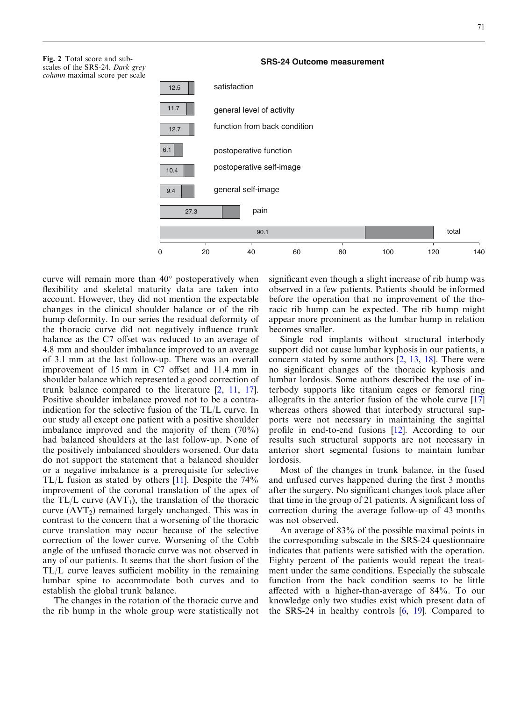Fig. 2 Total score and subscales of the SRS-24. Dark grey column maximal score per scale

#### **SRS-24 Outcome measurement**



curve will remain more than  $40^{\circ}$  postoperatively when flexibility and skeletal maturity data are taken into account. However, they did not mention the expectable changes in the clinical shoulder balance or of the rib hump deformity. In our series the residual deformity of the thoracic curve did not negatively influence trunk balance as the C7 offset was reduced to an average of 4.8 mm and shoulder imbalance improved to an average of 3.1 mm at the last follow-up. There was an overall improvement of 15 mm in C7 offset and 11.4 mm in shoulder balance which represented a good correction of trunk balance compared to the literature [2, 11, 17]. Positive shoulder imbalance proved not to be a contraindication for the selective fusion of the TL/L curve. In our study all except one patient with a positive shoulder imbalance improved and the majority of them (70%) had balanced shoulders at the last follow-up. None of the positively imbalanced shoulders worsened. Our data do not support the statement that a balanced shoulder or a negative imbalance is a prerequisite for selective TL/L fusion as stated by others  $[11]$ . Despite the 74% improvement of the coronal translation of the apex of the TL/L curve  $(AVT_1)$ , the translation of the thoracic curve  $(AVT<sub>2</sub>)$  remained largely unchanged. This was in contrast to the concern that a worsening of the thoracic curve translation may occur because of the selective correction of the lower curve. Worsening of the Cobb angle of the unfused thoracic curve was not observed in any of our patients. It seems that the short fusion of the TL/L curve leaves sufficient mobility in the remaining lumbar spine to accommodate both curves and to establish the global trunk balance.

The changes in the rotation of the thoracic curve and the rib hump in the whole group were statistically not significant even though a slight increase of rib hump was observed in a few patients. Patients should be informed before the operation that no improvement of the thoracic rib hump can be expected. The rib hump might appear more prominent as the lumbar hump in relation becomes smaller.

Single rod implants without structural interbody support did not cause lumbar kyphosis in our patients, a concern stated by some authors [2, 13, 18]. There were no significant changes of the thoracic kyphosis and lumbar lordosis. Some authors described the use of interbody supports like titanium cages or femoral ring allografts in the anterior fusion of the whole curve [17] whereas others showed that interbody structural supports were not necessary in maintaining the sagittal profile in end-to-end fusions [12]. According to our results such structural supports are not necessary in anterior short segmental fusions to maintain lumbar lordosis.

Most of the changes in trunk balance, in the fused and unfused curves happened during the first 3 months after the surgery. No significant changes took place after that time in the group of 21 patients. A significant loss of correction during the average follow-up of 43 months was not observed.

An average of 83% of the possible maximal points in the corresponding subscale in the SRS-24 questionnaire indicates that patients were satisfied with the operation. Eighty percent of the patients would repeat the treatment under the same conditions. Especially the subscale function from the back condition seems to be little affected with a higher-than-average of 84%. To our knowledge only two studies exist which present data of the SRS-24 in healthy controls [6, 19]. Compared to